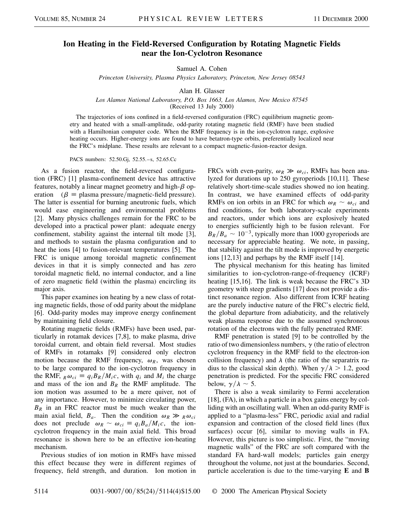## **Ion Heating in the Field-Reversed Configuration by Rotating Magnetic Fields near the Ion-Cyclotron Resonance**

Samuel A. Cohen

*Princeton University, Plasma Physics Laboratory, Princeton, New Jersey 08543*

Alan H. Glasser

*Los Alamos National Laboratory, P.O. Box 1663, Los Alamos, New Mexico 87545*

(Received 13 July 2000)

The trajectories of ions confined in a field-reversed configuration (FRC) equilibrium magnetic geometry and heated with a small-amplitude, odd-parity rotating magnetic field (RMF) have been studied with a Hamiltonian computer code. When the RMF frequency is in the ion-cyclotron range, explosive heating occurs. Higher-energy ions are found to have betatron-type orbits, preferentially localized near the FRC's midplane. These results are relevant to a compact magnetic-fusion-reactor design.

PACS numbers: 52.50.Gj, 52.55.–s, 52.65.Cc

As a fusion reactor, the field-reversed configuration (FRC) [1] plasma-confinement device has attractive features, notably a linear magnet geometry and high- $\beta$  operation  $(\beta = \text{plasma pressure/magnetic-field pressure}).$ The latter is essential for burning aneutronic fuels, which would ease engineering and environmental problems [2]. Many physics challenges remain for the FRC to be developed into a practical power plant: adequate energy confinement, stability against the internal tilt mode [3], and methods to sustain the plasma configuration and to heat the ions [4] to fusion-relevant temperatures [5]. The FRC is unique among toroidal magnetic confinement devices in that it is simply connected and has zero toroidal magnetic field, no internal conductor, and a line of zero magnetic field (within the plasma) encircling its major axis.

This paper examines ion heating by a new class of rotating magnetic fields, those of odd parity about the midplane [6]. Odd-parity modes may improve energy confinement by maintaining field closure.

Rotating magnetic fields (RMFs) have been used, particularly in rotamak devices [7,8], to make plasma, drive toroidal current, and obtain field reversal. Most studies of RMFs in rotamaks [9] considered only electron motion because the RMF frequency,  $\omega_R$ , was chosen to be large compared to the ion-cyclotron frequency in the RMF,  $_R \omega_{ci} \equiv q_i B_R / M_i c$ , with  $q_i$  and  $M_i$  the charge and mass of the ion and  $B_R$  the RMF amplitude. The ion motion was assumed to be a mere quiver, not of any importance. However, to minimize circulating power, *BR* in an FRC reactor must be much weaker than the main axial field,  $B_a$ . Then the condition  $\omega_R \gg R \omega_{ci}$ does not preclude  $\omega_R \sim \omega_{ci} \equiv q_i B_a / M_i c$ , the ioncyclotron frequency in the main axial field. This broad resonance is shown here to be an effective ion-heating mechanism.

Previous studies of ion motion in RMFs have missed this effect because they were in different regimes of frequency, field strength, and duration. Ion motion in FRCs with even-parity,  $\omega_R \gg \omega_{ci}$ , RMFs has been analyzed for durations up to 250 gyroperiods [10,11]. These relatively short-time-scale studies showed no ion heating. In contrast, we have examined effects of odd-parity RMFs on ion orbits in an FRC for which  $\omega_R \sim \omega_{ci}$  and find conditions, for both laboratory-scale experiments and reactors, under which ions are explosively heated to energies sufficiently high to be fusion relevant. For  $B_R/B_a \sim 10^{-3}$ , typically more than 1000 gyroperiods are necessary for appreciable heating. We note, in passing, that stability against the tilt mode is improved by energetic ions [12,13] and perhaps by the RMF itself [14].

The physical mechanism for this heating has limited similarities to ion-cyclotron-range-of-frequency (ICRF) heating [15,16]. The link is weak because the FRC's 3D geometry with steep gradients [17] does not provide a distinct resonance region. Also different from ICRF heating are the purely inductive nature of the FRC's electric field, the global departure from adiabaticity, and the relatively weak plasma response due to the assumed synchronous rotation of the electrons with the fully penetrated RMF.

RMF penetration is stated [9] to be controlled by the ratio of two dimensionless numbers,  $\gamma$  (the ratio of electron cyclotron frequency in the RMF field to the electron-ion collision frequency) and  $\lambda$  (the ratio of the separatrix radius to the classical skin depth). When  $\gamma/\lambda > 1.2$ , good penetration is predicted. For the specific FRC considered below,  $\gamma/\lambda \sim 5$ .

There is also a weak similarity to Fermi acceleration [18], (FA), in which a particle in a box gains energy by colliding with an oscillating wall. When an odd-parity RMF is applied to a "plasma-less" FRC, periodic axial and radial expansion and contraction of the closed field lines (flux surfaces) occur [6], similar to moving walls in FA. However, this picture is too simplistic. First, the "moving magnetic walls" of the FRC are soft compared with the standard FA hard-wall models; particles gain energy throughout the volume, not just at the boundaries. Second, particle acceleration is due to the time-varying **E** and **B**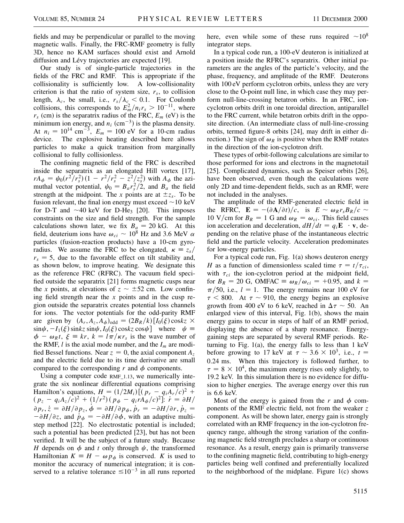fields and may be perpendicular or parallel to the moving magnetic walls. Finally, the FRC-RMF geometry is fully 3D, hence no KAM surfaces should exist and Arnold diffusion and Lévy trajectories are expected [19].

Our study is of single-particle trajectories in the fields of the FRC and RMF. This is appropriate if the collisionality is sufficiently low. A low-collisionality criterion is that the ratio of system size,  $r<sub>s</sub>$ , to collision length,  $\lambda_c$ , be small, i.e.,  $r_s/\lambda_c < 0.1$ . For Coulomb collisions, this corresponds to  $E_m^2/n_i r_s > 10^{-11}$ , where  $r_s$  (cm) is the separatrix radius of the FRC,  $E_m$  (eV) is the minimum ion energy, and  $n_i$  (cm<sup>-3</sup>) is the plasma density. At  $n_i = 10^{14}$  cm<sup>-3</sup>,  $E_m = 100$  eV for a 10-cm radius device. The explosive heating described here allows particles to make a quick transition from marginally collisional to fully collisionless.

The confining magnetic field of the FRC is described inside the separatrix as an elongated Hill vortex [17],  $rA_{\phi} = \psi_0 (r^2/r_s^2) (1 - r^2/r_s^2 - z^2/z_s^2)$  with  $A_{\phi}$  the azimuthal vector potential,  $\psi_0 = B_a r_s^2/2$ , and  $B_a$  the field strength at the midpoint. The *x* points are at  $\pm z_s$ . To be fusion relevant, the final ion energy must exceed  $\sim$  10 keV for D-T and  $\sim$ 40 keV for D-He<sub>3</sub> [20]. This imposes constraints on the size and field strength. For the sample calculations shown later, we fix  $B_{a} = 20$  kG. At this field, deuterium ions have  $\omega_{ci} \sim 10^8$  Hz and 3.6 MeV  $\alpha$ particles (fusion-reaction products) have a 10-cm gyroradius. We assume the FRC to be elongated,  $\kappa = z_s/$  $r<sub>s</sub> = 5$ , due to the favorable effect on tilt stability and, as shown below, to improve heating. We designate this as the reference FRC (RFRC). The vacuum field specified outside the separatrix [21] forms magnetic cusps near the *x* points, at elevations of  $z \sim \pm 52$  cm. Low confining field strength near the *x* points and in the cusp region outside the separatrix creates potential loss channels for ions. The vector potentials for the odd-parity RMF are given by  $(A_r, A_z, A_{\phi})_{odd} = (2B_R/k)[I_0(\xi)\cos kz$  ×  $\sin\psi$ ,  $-I_1(\xi)$  sinkz  $\sin\psi$ ,  $I_0(\xi)$  coskz cos $\psi$  where  $\psi$  $\phi - \omega_R t$ ,  $\xi \equiv kr$ ,  $k = l\pi/\kappa r_s$  is the wave number of the RMF,  $l$  is the axial mode number, and the  $I_m$  are modified Bessel functions. Near  $z = 0$ , the axial component  $A<sub>z</sub>$ and the electric field due to its time derivative are small compared to the corresponding  $r$  and  $\phi$  components.

Using a computer code RMF\_1.13, we numerically integrate the six nonlinear differential equations comprising Hamilton's equations,  $H = (1/2M_i) [(p_r - q_iA_r/c)^2 +$  $(p_z - q_i A_z/c)^2 + (1/r^2)(p_{\phi} - q_i r A_{\phi}/c)^2$ :  $\dot{r} = \partial H/c$  $\partial p_r, \dot{z} = \partial H/\partial p_z, \dot{\phi} = \partial H/\partial p_\phi, \dot{p}_r = -\partial H/\partial r, \dot{p}_z =$  $-\frac{\partial H}{\partial z}$ , and  $\dot{p}_{\phi} = -\frac{\partial H}{\partial \phi}$ , with an adaptive multistep method [22]. No electrostatic potential is included; such a potential has been predicted [23], but has not been verified. It will be the subject of a future study. Because *H* depends on  $\phi$  and *t* only through  $\psi$ , the transformed Hamiltonian  $K \equiv H - \omega p_{\phi}$  is conserved. *K* is used to monitor the accuracy of numerical integration; it is conserved to a relative tolerance  $\leq 10^{-3}$  in all runs reported here, even while some of these runs required  $\sim 10^8$ integrator steps.

In a typical code run, a 100-eV deuteron is initialized at a position inside the RFRC's separatrix. Other initial parameters are the angles of the particle's velocity, and the phase, frequency, and amplitude of the RMF. Deuterons with 100 eV perform cyclotron orbits, unless they are very close to the O-point null line, in which case they may perform null-line-crossing betatron orbits. In an FRC, ioncyclotron orbits drift in one toroidal direction, antiparallel to the FRC current, while betatron orbits drift in the opposite direction. (An intermediate class of null-line-crossing orbits, termed figure-8 orbits [24], may drift in either direction.) The sign of  $\omega_R$  is positive when the RMF rotates in the direction of the ion-cyclotron drift.

These types of orbit-following calculations are similar to those performed for ions and electrons in the magnetotail [25]. Complicated dynamics, such as Speiser orbits [26], have been observed, even though the calculations were only 2D and time-dependent fields, such as an RMF, were not included in the analyses.

The amplitude of the RMF-generated electric field in the RFRC,  $\mathbf{E} = -(\partial \mathbf{A}/\partial t)/c$ , is  $E \sim \omega_R r_s B_R/c$ 10 V/cm for  $B_R = 1$  G and  $\omega_R = \omega_{ci}$ . This field causes ion acceleration and deceleration,  $dH/dt = q_i \mathbf{E} \cdot \mathbf{v}$ , depending on the relative phase of the instantaneous electric field and the particle velocity. Acceleration predominates for low-energy particles.

For a typical code run, Fig. 1(a) shows deuteron energy *H* as a function of dimensionless scaled time  $\tau = t/\tau_{ci}$ , with  $\tau_{ci}$  the ion-cyclotron period at the midpoint field, for  $B_R = 20$  G, OMFAC  $\equiv \omega_R/\omega_{ci} = +0.95$ , and  $k =$  $\pi/50$ , i.e.,  $l = 1$ . The energy remains near 100 eV for  $\tau$  < 800. At  $\tau$  ~ 910, the energy begins an explosive growth from 400 eV to 6 keV, reached in  $\Delta \tau \sim 50$ . An enlarged view of this interval, Fig. 1(b), shows the main energy gains to occur in steps of half of an RMF period, displaying the absence of a sharp resonance. Energygaining steps are separated by several RMF periods. Returning to Fig. 1(a), the energy falls to less than 1 keV before growing to 17 keV at  $\tau \sim 3.6 \times 10^3$ , i.e.,  $t =$ 0.24 ms. When this trajectory is followed further, to  $\tau = 8 \times 10^4$ , the maximum energy rises only slightly, to 19.2 keV. In this simulation there is no evidence for diffusion to higher energies. The average energy over this run is 6.6 keV.

Most of the energy is gained from the  $r$  and  $\phi$  components of the RMF electric field, not from the weaker *z* component. As will be shown later, energy gain is strongly correlated with an RMF frequency in the ion-cyclotron frequency range, although the strong variation of the confining magnetic field strength precludes a sharp or continuous resonance. As a result, energy gain is primarily transverse to the confining magnetic field, contributing to high-energy particles being well confined and preferentially localized to the neighborhood of the midplane. Figure 1(c) shows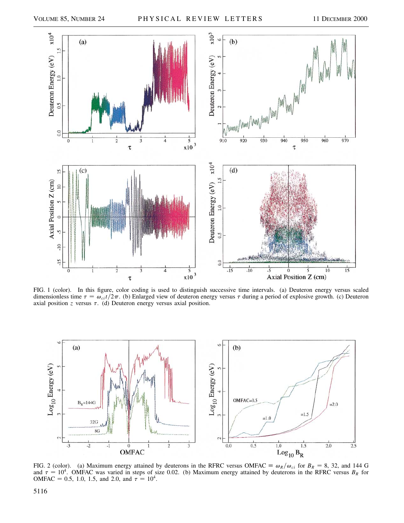

FIG. 1 (color). In this figure, color coding is used to distinguish successive time intervals. (a) Deuteron energy versus scaled dimensionless time  $\tau = \omega_{ci} t / 2\pi$ . (b) Enlarged view of deuteron energy versus  $\tau$  during a period of explosive growth. (c) Deuteron axial position  $z$  versus  $\tau$ . (d) Deuteron energy versus axial position.



FIG. 2 (color). (a) Maximum energy attained by deuterons in the RFRC versus OMFAC  $\equiv \omega_R/\omega_{ci}$  for  $B_R = 8$ , 32, and 144 G and  $\tau = 10^4$ . OMFAC was varied in steps of size 0.02. (b) Maximum energy attained by deuterons in the RFRC versus  $B_R$  for OMFAC = 0.5, 1.0, 1.5, and 2.0, and  $\tau = 10^4$ .